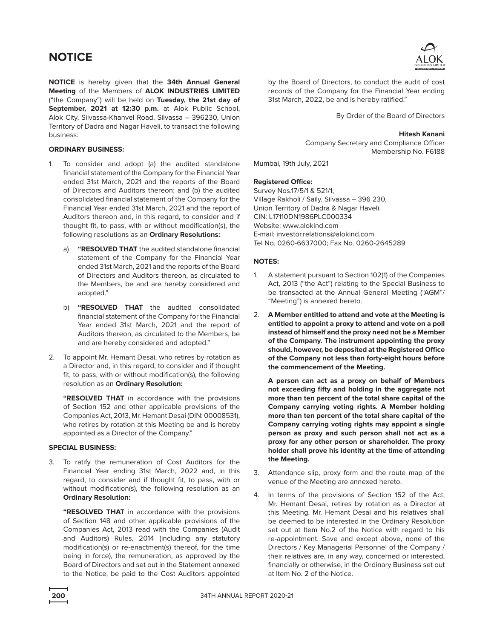**NOTICE** is hereby given that the **34th Annual General Meeting** of the Members of **ALOK INDUSTRIES LIMITED**  ("the Company") will be held on **Tuesday, the 21st day of September, 2021 at 12:30 p.m.** at Alok Public School, Alok City, Silvassa-Khanvel Road, Silvassa – 396230, Union Territory of Dadra and Nagar Haveli, to transact the following business:

## **ORDINARY BUSINESS:**

- 1. To consider and adopt (a) the audited standalone financial statement of the Company for the Financial Year ended 31st March, 2021 and the reports of the Board of Directors and Auditors thereon; and (b) the audited consolidated financial statement of the Company for the Financial Year ended 31st March, 2021 and the report of Auditors thereon and, in this regard, to consider and if thought fit, to pass, with or without modification(s), the following resolutions as an **Ordinary Resolutions:**
	- a) **"RESOLVED THAT** the audited standalone financial statement of the Company for the Financial Year ended 31st March, 2021 and the reports of the Board of Directors and Auditors thereon, as circulated to the Members, be and are hereby considered and adopted."
	- b) **"RESOLVED THAT** the audited consolidated financial statement of the Company for the Financial Year ended 31st March, 2021 and the report of Auditors thereon, as circulated to the Members, be and are hereby considered and adopted."
- 2. To appoint Mr. Hemant Desai, who retires by rotation as a Director and, in this regard, to consider and if thought fit, to pass, with or without modification(s), the following resolution as an **Ordinary Resolution:**

**"RESOLVED THAT** in accordance with the provisions of Section 152 and other applicable provisions of the Companies Act, 2013, Mr. Hemant Desai (DIN: 00008531), who retires by rotation at this Meeting be and is hereby appointed as a Director of the Company."

### **SPECIAL BUSINESS:**

3. To ratify the remuneration of Cost Auditors for the Financial Year ending 31st March, 2022 and, in this regard, to consider and if thought fit, to pass, with or without modification(s), the following resolution as an **Ordinary Resolution:**

 **"RESOLVED THAT** in accordance with the provisions of Section 148 and other applicable provisions of the Companies Act, 2013 read with the Companies (Audit and Auditors) Rules, 2014 (including any statutory modification(s) or re-enactment(s) thereof, for the time being in force), the remuneration, as approved by the Board of Directors and set out in the Statement annexed to the Notice, be paid to the Cost Auditors appointed



by the Board of Directors, to conduct the audit of cost records of the Company for the Financial Year ending 31st March, 2022, be and is hereby ratified."

By Order of the Board of Directors

#### **Hitesh Kanani**

Company Secretary and Compliance Officer Membership No. F6188

Mumbai, 19th July, 2021

## **Registered Office:**

Survey Nos.17/5/1 & 521/1, Village Rakholi / Saily, Silvassa – 396 230, Union Territory of Dadra & Nagar Haveli. CIN: L17110DN1986PLC000334 Website: www.alokind.com E-mail: investor.relations@alokind.com Tel No. 0260-6637000; Fax No. 0260-2645289

### **NOTES:**

- 1. A statement pursuant to Section 102(1) of the Companies Act, 2013 ("the Act") relating to the Special Business to be transacted at the Annual General Meeting ("AGM"/ "Meeting") is annexed hereto.
- 2. **A Member entitled to attend and vote at the Meeting is entitled to appoint a proxy to attend and vote on a poll instead of himself and the proxy need not be a Member of the Company. The instrument appointing the proxy should, however, be deposited at the Registered Office of the Company not less than forty-eight hours before the commencement of the Meeting.**

 **A person can act as a proxy on behalf of Members not exceeding fifty and holding in the aggregate not more than ten percent of the total share capital of the Company carrying voting rights. A Member holding more than ten percent of the total share capital of the Company carrying voting rights may appoint a single person as proxy and such person shall not act as a proxy for any other person or shareholder. The proxy holder shall prove his identity at the time of attending the Meeting.**

- 3. Attendance slip, proxy form and the route map of the venue of the Meeting are annexed hereto.
- 4. In terms of the provisions of Section 152 of the Act, Mr. Hemant Desai, retires by rotation as a Director at this Meeting. Mr. Hemant Desai and his relatives shall be deemed to be interested in the Ordinary Resolution set out at Item No.2 of the Notice with regard to his re-appointment. Save and except above, none of the Directors / Key Managerial Personnel of the Company / their relatives are, in any way, concerned or interested, financially or otherwise, in the Ordinary Business set out at Item No. 2 of the Notice.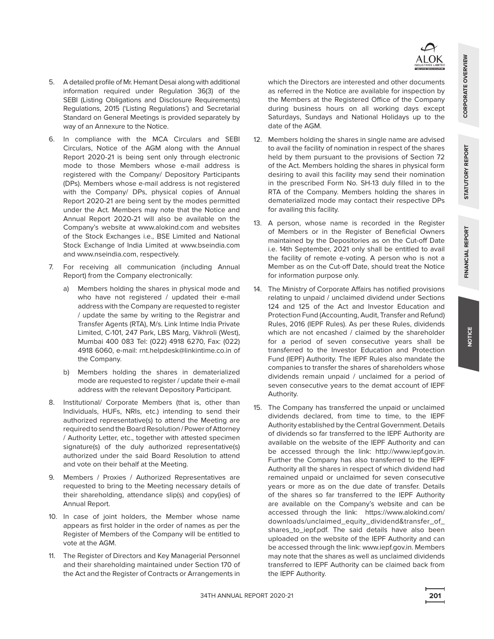- 5. A detailed profile of Mr. Hemant Desai along with additional information required under Regulation 36(3) of the SEBI (Listing Obligations and Disclosure Requirements) Regulations, 2015 ('Listing Regulations') and Secretarial Standard on General Meetings is provided separately by way of an Annexure to the Notice.
- 6. In compliance with the MCA Circulars and SEBI Circulars, Notice of the AGM along with the Annual Report 2020-21 is being sent only through electronic mode to those Members whose e-mail address is registered with the Company/ Depository Participants (DPs). Members whose e-mail address is not registered with the Company/ DPs, physical copies of Annual Report 2020-21 are being sent by the modes permitted under the Act. Members may note that the Notice and Annual Report 2020-21 will also be available on the Company's website at www.alokind.com and websites of the Stock Exchanges i.e., BSE Limited and National Stock Exchange of India Limited at www.bseindia.com and www.nseindia.com, respectively.
- 7. For receiving all communication (including Annual Report) from the Company electronically:
	- a) Members holding the shares in physical mode and who have not registered / updated their e-mail address with the Company are requested to register / update the same by writing to the Registrar and Transfer Agents (RTA), M/s. Link Intime India Private Limited, C-101, 247 Park, LBS Marg, Vikhroli (West), Mumbai 400 083 Tel: (022) 4918 6270, Fax: (022) 4918 6060, e-mail: rnt.helpdesk@linkintime.co.in of the Company.
	- b) Members holding the shares in dematerialized mode are requested to register / update their e-mail address with the relevant Depository Participant.
- 8. Institutional/ Corporate Members (that is, other than Individuals, HUFs, NRIs, etc.) intending to send their authorized representative(s) to attend the Meeting are required to send the Board Resolution / Power of Attorney / Authority Letter, etc., together with attested specimen signature(s) of the duly authorized representative(s) authorized under the said Board Resolution to attend and vote on their behalf at the Meeting.
- 9. Members / Proxies / Authorized Representatives are requested to bring to the Meeting necessary details of their shareholding, attendance slip(s) and copy(ies) of Annual Report.
- 10. In case of joint holders, the Member whose name appears as first holder in the order of names as per the Register of Members of the Company will be entitled to vote at the AGM.
- 11. The Register of Directors and Key Managerial Personnel and their shareholding maintained under Section 170 of the Act and the Register of Contracts or Arrangements in

which the Directors are interested and other documents as referred in the Notice are available for inspection by the Members at the Registered Office of the Company during business hours on all working days except Saturdays, Sundays and National Holidays up to the date of the AGM.

- 12. Members holding the shares in single name are advised to avail the facility of nomination in respect of the shares held by them pursuant to the provisions of Section 72 of the Act. Members holding the shares in physical form desiring to avail this facility may send their nomination in the prescribed Form No. SH-13 duly filled in to the RTA of the Company. Members holding the shares in dematerialized mode may contact their respective DPs for availing this facility.
- 13. A person, whose name is recorded in the Register of Members or in the Register of Beneficial Owners maintained by the Depositories as on the Cut-off Date i.e. 14th September, 2021 only shall be entitled to avail the facility of remote e-voting. A person who is not a Member as on the Cut-off Date, should treat the Notice for information purpose only.
- 14. The Ministry of Corporate Affairs has notified provisions relating to unpaid / unclaimed dividend under Sections 124 and 125 of the Act and Investor Education and Protection Fund (Accounting, Audit, Transfer and Refund) Rules, 2016 (IEPF Rules). As per these Rules, dividends which are not encashed / claimed by the shareholder for a period of seven consecutive years shall be transferred to the Investor Education and Protection Fund (IEPF) Authority. The IEPF Rules also mandate the companies to transfer the shares of shareholders whose dividends remain unpaid / unclaimed for a period of seven consecutive years to the demat account of IEPF Authority.
- 15. The Company has transferred the unpaid or unclaimed dividends declared, from time to time, to the IEPF Authority established by the Central Government. Details of dividends so far transferred to the IEPF Authority are available on the website of the IEPF Authority and can be accessed through the link: http://www.iepf.gov.in. Further the Company has also transferred to the IEPF Authority all the shares in respect of which dividend had remained unpaid or unclaimed for seven consecutive years or more as on the due date of transfer. Details of the shares so far transferred to the IEPF Authority are available on the Company's website and can be accessed through the link: https://www.alokind.com/ downloads/unclaimed\_equity\_dividend&transfer\_of shares\_to\_iepf.pdf. The said details have also been uploaded on the website of the IEPF Authority and can be accessed through the link: www.iepf.gov.in. Members may note that the shares as well as unclaimed dividends transferred to IEPF Authority can be claimed back from the IEPF Authority.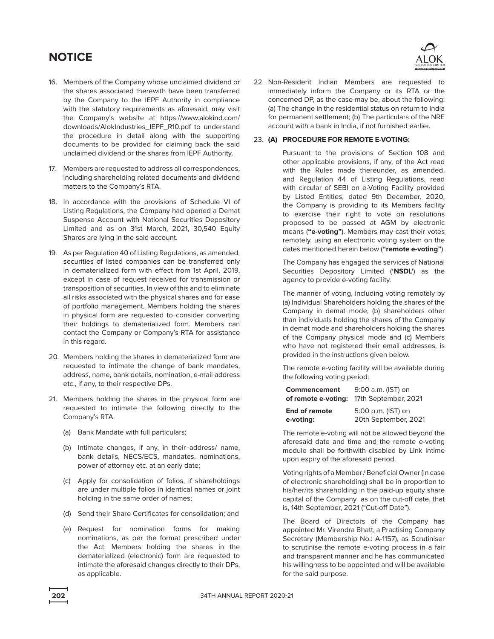- 16. Members of the Company whose unclaimed dividend or the shares associated therewith have been transferred by the Company to the IEPF Authority in compliance with the statutory requirements as aforesaid, may visit the Company's website at https://www.alokind.com/ downloads/AlokIndustries\_IEPF\_R10.pdf to understand the procedure in detail along with the supporting documents to be provided for claiming back the said unclaimed dividend or the shares from IEPF Authority.
- 17. Members are requested to address all correspondences, including shareholding related documents and dividend matters to the Company's RTA.
- 18. In accordance with the provisions of Schedule VI of Listing Regulations, the Company had opened a Demat Suspense Account with National Securities Depository Limited and as on 31st March, 2021, 30,540 Equity Shares are lying in the said account.
- 19. As per Regulation 40 of Listing Regulations, as amended, securities of listed companies can be transferred only in dematerialized form with effect from 1st April, 2019, except in case of request received for transmission or transposition of securities. In view of this and to eliminate all risks associated with the physical shares and for ease of portfolio management, Members holding the shares in physical form are requested to consider converting their holdings to dematerialized form. Members can contact the Company or Company's RTA for assistance in this regard.
- 20. Members holding the shares in dematerialized form are requested to intimate the change of bank mandates, address, name, bank details, nomination, e-mail address etc., if any, to their respective DPs.
- 21. Members holding the shares in the physical form are requested to intimate the following directly to the Company's RTA.
	- (a) Bank Mandate with full particulars;
	- (b) Intimate changes, if any, in their address/ name, bank details, NECS/ECS, mandates, nominations, power of attorney etc. at an early date;
	- (c) Apply for consolidation of folios, if shareholdings are under multiple folios in identical names or joint holding in the same order of names;
	- (d) Send their Share Certificates for consolidation; and
	- (e) Request for nomination forms for making nominations, as per the format prescribed under the Act. Members holding the shares in the dematerialized (electronic) form are requested to intimate the aforesaid changes directly to their DPs, as applicable.



22. Non-Resident Indian Members are requested to immediately inform the Company or its RTA or the concerned DP, as the case may be, about the following: (a) The change in the residential status on return to India for permanent settlement; (b) The particulars of the NRE account with a bank in India, if not furnished earlier.

## 23. **(A) PROCEDURE FOR REMOTE E-VOTING:**

 Pursuant to the provisions of Section 108 and other applicable provisions, if any, of the Act read with the Rules made thereunder, as amended, and Regulation 44 of Listing Regulations, read with circular of SEBI on e-Voting Facility provided by Listed Entities, dated 9th December, 2020, the Company is providing to its Members facility to exercise their right to vote on resolutions proposed to be passed at AGM by electronic means (**"e-voting"**). Members may cast their votes remotely, using an electronic voting system on the dates mentioned herein below (**"remote e-voting"**).

 The Company has engaged the services of National Securities Depository Limited (**'NSDL'**) as the agency to provide e-voting facility.

 The manner of voting, including voting remotely by (a) Individual Shareholders holding the shares of the Company in demat mode, (b) shareholders other than individuals holding the shares of the Company in demat mode and shareholders holding the shares of the Company physical mode and (c) Members who have not registered their email addresses, is provided in the instructions given below.

 The remote e-voting facility will be available during the following voting period:

| Commencement        | 9:00 a.m. (IST) on   |  |  |
|---------------------|----------------------|--|--|
| of remote e-voting: | 17th September, 2021 |  |  |
| End of remote       | 5:00 p.m. (IST) on   |  |  |
| e-voting:           | 20th September, 2021 |  |  |

 The remote e-voting will not be allowed beyond the aforesaid date and time and the remote e-voting module shall be forthwith disabled by Link Intime upon expiry of the aforesaid period.

 Voting rights of a Member / Beneficial Owner (in case of electronic shareholding) shall be in proportion to his/her/its shareholding in the paid-up equity share capital of the Company as on the cut-off date, that is, 14th September, 2021 ("Cut-off Date").

 The Board of Directors of the Company has appointed Mr. Virendra Bhatt, a Practising Company Secretary (Membership No.: A-1157), as Scrutiniser to scrutinise the remote e-voting process in a fair and transparent manner and he has communicated his willingness to be appointed and will be available for the said purpose.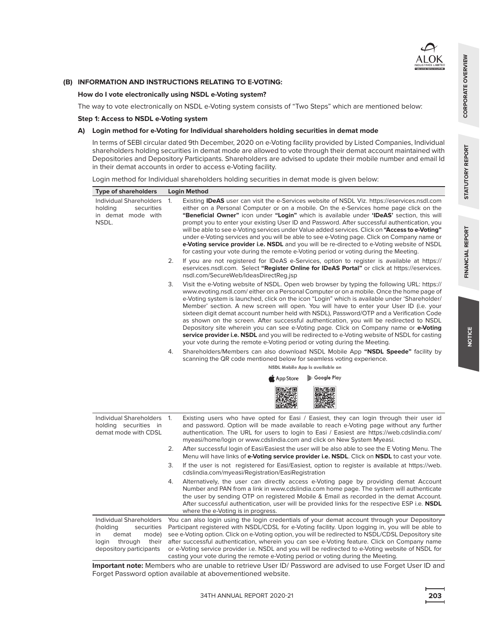

CORPORATE OVERVIEW

 **How do I vote electronically using NSDL e-Voting system?**

The way to vote electronically on NSDL e-Voting system consists of "Two Steps" which are mentioned below:

## **Step 1: Access to NSDL e-Voting system**

## **A) Login method for e-Voting for Individual shareholders holding securities in demat mode**

 In terms of SEBI circular dated 9th December, 2020 on e-Voting facility provided by Listed Companies, Individual shareholders holding securities in demat mode are allowed to vote through their demat account maintained with Depositories and Depository Participants. Shareholders are advised to update their mobile number and email Id in their demat accounts in order to access e-Voting facility.

Login method for Individual shareholders holding securities in demat mode is given below:

| <b>Type of shareholders</b>                                                                                                       | Login Method                                                                                                                                                                                                                                                                                                                                                                                                                                                                                                                                                                                                                                                                                                                                                                                                                                                 |
|-----------------------------------------------------------------------------------------------------------------------------------|--------------------------------------------------------------------------------------------------------------------------------------------------------------------------------------------------------------------------------------------------------------------------------------------------------------------------------------------------------------------------------------------------------------------------------------------------------------------------------------------------------------------------------------------------------------------------------------------------------------------------------------------------------------------------------------------------------------------------------------------------------------------------------------------------------------------------------------------------------------|
| Individual Shareholders<br>holding<br>securities<br>in demat mode with<br>NSDL.                                                   | Existing <b>IDeAS</b> user can visit the e-Services website of NSDL Viz. https://eservices.nsdl.com<br>1.<br>either on a Personal Computer or on a mobile. On the e-Services home page click on the<br>"Beneficial Owner" icon under "Login" which is available under 'IDeAS' section, this will<br>prompt you to enter your existing User ID and Password. After successful authentication, you<br>will be able to see e-Voting services under Value added services. Click on "Access to e-Voting"<br>under e-Voting services and you will be able to see e-Voting page. Click on Company name or<br>e-Voting service provider i.e. NSDL and you will be re-directed to e-Voting website of NSDL<br>for casting your vote during the remote e-Voting period or voting during the Meeting.                                                                   |
|                                                                                                                                   | 2.<br>If you are not registered for IDeAS e-Services, option to register is available at https://<br>eservices.nsdl.com. Select "Register Online for IDeAS Portal" or click at https://eservices.<br>nsdl.com/SecureWeb/IdeasDirectReg.jsp                                                                                                                                                                                                                                                                                                                                                                                                                                                                                                                                                                                                                   |
|                                                                                                                                   | Visit the e-Voting website of NSDL. Open web browser by typing the following URL: https://<br>3.<br>www.evoting.nsdl.com/either on a Personal Computer or on a mobile. Once the home page of<br>e-Voting system is launched, click on the icon "Login" which is available under 'Shareholder/<br>Member' section. A new screen will open. You will have to enter your User ID (i.e. your<br>sixteen digit demat account number held with NSDL), Password/OTP and a Verification Code<br>as shown on the screen. After successful authentication, you will be redirected to NSDL<br>Depository site wherein you can see e-Voting page. Click on Company name or <b>e-Voting</b><br>service provider i.e. NSDL and you will be redirected to e-Voting website of NSDL for casting<br>your vote during the remote e-Voting period or voting during the Meeting. |
|                                                                                                                                   | Shareholders/Members can also download NSDL Mobile App "NSDL Speede" facility by<br>4.                                                                                                                                                                                                                                                                                                                                                                                                                                                                                                                                                                                                                                                                                                                                                                       |
|                                                                                                                                   | scanning the QR code mentioned below for seamless voting experience.<br>NSDL Mobile App is available on                                                                                                                                                                                                                                                                                                                                                                                                                                                                                                                                                                                                                                                                                                                                                      |
|                                                                                                                                   | Google Play<br>App Store                                                                                                                                                                                                                                                                                                                                                                                                                                                                                                                                                                                                                                                                                                                                                                                                                                     |
|                                                                                                                                   | 回报交易回                                                                                                                                                                                                                                                                                                                                                                                                                                                                                                                                                                                                                                                                                                                                                                                                                                                        |
| Individual Shareholders 1.<br>holding securities in<br>demat mode with CDSL                                                       | Existing users who have opted for Easi / Easiest, they can login through their user id<br>and password. Option will be made available to reach e-Voting page without any further<br>authentication. The URL for users to login to Easi / Easiest are https://web.cdslindia.com/<br>myeasi/home/login or www.cdslindia.com and click on New System Myeasi.                                                                                                                                                                                                                                                                                                                                                                                                                                                                                                    |
|                                                                                                                                   | 2.<br>After successful login of Easi/Easiest the user will be also able to see the E Voting Menu. The<br>Menu will have links of <b>e-Voting service provider i.e. NSDL</b> . Click on <b>NSDL</b> to cast your vote.                                                                                                                                                                                                                                                                                                                                                                                                                                                                                                                                                                                                                                        |
|                                                                                                                                   | 3.<br>If the user is not registered for Easi/Easiest, option to register is available at https://web.<br>cdslindia.com/myeasi/Registration/EasiRegistration                                                                                                                                                                                                                                                                                                                                                                                                                                                                                                                                                                                                                                                                                                  |
|                                                                                                                                   | Alternatively, the user can directly access e-Voting page by providing demat Account<br>4.<br>Number and PAN from a link in www.cdslindia.com home page. The system will authenticate<br>the user by sending OTP on registered Mobile & Email as recorded in the demat Account.<br>After successful authentication, user will be provided links for the respective ESP i.e. NSDL<br>where the e-Voting is in progress.                                                                                                                                                                                                                                                                                                                                                                                                                                       |
| Individual Shareholders<br>(holding<br>securities<br>in<br>demat<br>mode)<br>through<br>login<br>their<br>depository participants | You can also login using the login credentials of your demat account through your Depository<br>Participant registered with NSDL/CDSL for e-Voting facility. Upon logging in, you will be able to<br>see e-Voting option. Click on e-Voting option, you will be redirected to NSDL/CDSL Depository site<br>after successful authentication, wherein you can see e-Voting feature. Click on Company name<br>or e-Voting service provider i.e. NSDL and you will be redirected to e-Voting website of NSDL for<br>casting your vote during the remote e-Voting period or voting during the Meeting.                                                                                                                                                                                                                                                            |

 **Important note:** Members who are unable to retrieve User ID/ Password are advised to use Forget User ID and Forget Password option available at abovementioned website.

**STATUTORY REPORT**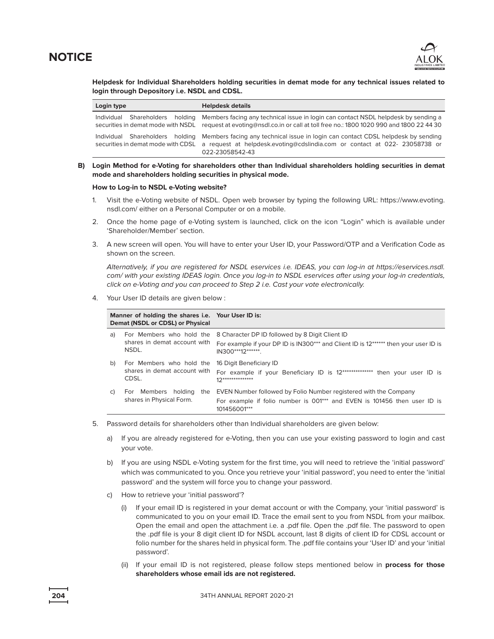

 **Helpdesk for Individual Shareholders holding securities in demat mode for any technical issues related to login through Depository i.e. NSDL and CDSL.**

| Login type | <b>Helpdesk details</b>                                                                                                                                                                                                                             |
|------------|-----------------------------------------------------------------------------------------------------------------------------------------------------------------------------------------------------------------------------------------------------|
|            | Individual Shareholders holding Members facing any technical issue in login can contact NSDL helpdesk by sending a<br>securities in demat mode with NSDL request at evoting@nsdl.co.in or call at toll free no.: 1800 1020 990 and 1800 22 44 30    |
|            | Individual Shareholders holding Members facing any technical issue in login can contact CDSL helpdesk by sending<br>securities in demat mode with CDSL a request at helpdesk.evoting@cdslindia.com or contact at 022-23058738 or<br>022-23058542-43 |

 **B) Login Method for e-Voting for shareholders other than Individual shareholders holding securities in demat mode and shareholders holding securities in physical mode.**

### **How to Log-in to NSDL e-Voting website?**

- 1. Visit the e-Voting website of NSDL. Open web browser by typing the following URL: https://www.evoting. nsdl.com/ either on a Personal Computer or on a mobile.
- 2. Once the home page of e-Voting system is launched, click on the icon "Login" which is available under 'Shareholder/Member' section.
- 3. A new screen will open. You will have to enter your User ID, your Password/OTP and a Verification Code as shown on the screen.

 Alternatively, if you are registered for NSDL eservices i.e. IDEAS, you can log-in at https://eservices.nsdl. com/ with your existing IDEAS login. Once you log-in to NSDL eservices after using your log-in credentials, click on e-Voting and you can proceed to Step 2 i.e. Cast your vote electronically.

4. Your User ID details are given below :

|    | Manner of holding the shares i.e. Your User ID is:<br>Demat (NSDL or CDSL) or Physical |                                                                                                                                                               |
|----|----------------------------------------------------------------------------------------|---------------------------------------------------------------------------------------------------------------------------------------------------------------|
| a) | For Members who hold the<br>shares in demat account with<br>NSDL.                      | 8 Character DP ID followed by 8 Digit Client ID<br>For example if your DP ID is IN300*** and Client ID is 12****** then your user ID is<br>IN300***12*******. |
| b) | For Members who hold the<br>shares in demat account with<br>CDSL.                      | 16 Digit Beneficiary ID<br>For example if your Beneficiary ID is 12***************<br>then your user ID is<br>$12*******************$                         |
| C) | For Members holding<br>the<br>shares in Physical Form.                                 | EVEN Number followed by Folio Number registered with the Company<br>For example if folio number is 001*** and EVEN is 101456 then user ID is<br>101456001***  |

- 5. Password details for shareholders other than Individual shareholders are given below:
	- a) If you are already registered for e-Voting, then you can use your existing password to login and cast your vote.
	- b) If you are using NSDL e-Voting system for the first time, you will need to retrieve the 'initial password' which was communicated to you. Once you retrieve your 'initial password', you need to enter the 'initial password' and the system will force you to change your password.
	- c) How to retrieve your 'initial password'?
		- (i) If your email ID is registered in your demat account or with the Company, your 'initial password' is communicated to you on your email ID. Trace the email sent to you from NSDL from your mailbox. Open the email and open the attachment i.e. a .pdf file. Open the .pdf file. The password to open the .pdf file is your 8 digit client ID for NSDL account, last 8 digits of client ID for CDSL account or folio number for the shares held in physical form. The .pdf file contains your 'User ID' and your 'initial password'.
		- (ii) If your email ID is not registered, please follow steps mentioned below in **process for those shareholders whose email ids are not registered.**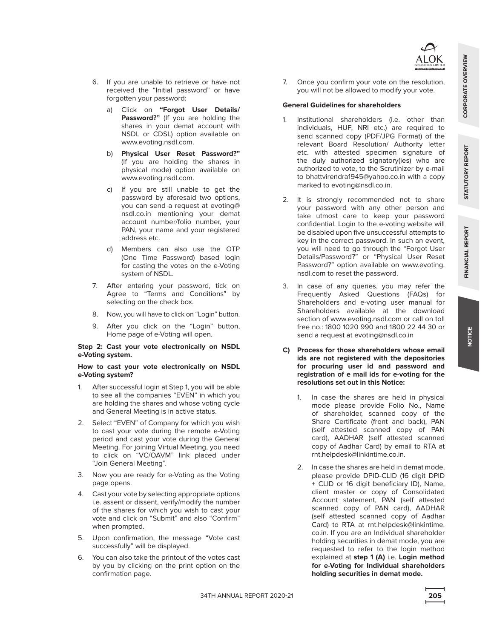

- 6. If you are unable to retrieve or have not received the "Initial password" or have forgotten your password:
	- a) Click on **"Forgot User Details/ Password?"** (If you are holding the shares in your demat account with NSDL or CDSL) option available on www.evoting.nsdl.com.
	- b) **Physical User Reset Password?"** (If you are holding the shares in physical mode) option available on www.evoting.nsdl.com.
	- c) If you are still unable to get the password by aforesaid two options, you can send a request at evoting@ nsdl.co.in mentioning your demat account number/folio number, your PAN, your name and your registered address etc.
	- d) Members can also use the OTP (One Time Password) based login for casting the votes on the e-Voting system of NSDL.
- 7. After entering your password, tick on Agree to "Terms and Conditions" by selecting on the check box.
- 8. Now, you will have to click on "Login" button.
- 9. After you click on the "Login" button, Home page of e-Voting will open.

### **Step 2: Cast your vote electronically on NSDL e-Voting system.**

## **How to cast your vote electronically on NSDL e-Voting system?**

- 1. After successful login at Step 1, you will be able to see all the companies "EVEN" in which you are holding the shares and whose voting cycle and General Meeting is in active status.
- 2. Select "EVEN" of Company for which you wish to cast your vote during the remote e-Voting period and cast your vote during the General Meeting. For joining Virtual Meeting, you need to click on "VC/OAVM" link placed under "Join General Meeting".
- 3. Now you are ready for e-Voting as the Voting page opens.
- 4. Cast your vote by selecting appropriate options i.e. assent or dissent, verify/modify the number of the shares for which you wish to cast your vote and click on "Submit" and also "Confirm" when prompted.
- 5. Upon confirmation, the message "Vote cast successfully" will be displayed.
- 6. You can also take the printout of the votes cast by you by clicking on the print option on the confirmation page.

 7. Once you confirm your vote on the resolution, you will not be allowed to modify your vote.

## **General Guidelines for shareholders**

- 1. Institutional shareholders (i.e. other than individuals, HUF, NRI etc.) are required to send scanned copy (PDF/JPG Format) of the relevant Board Resolution/ Authority letter etc. with attested specimen signature of the duly authorized signatory(ies) who are authorized to vote, to the Scrutinizer by e-mail to bhattvirendra1945@yahoo.co.in with a copy marked to evoting@nsdl.co.in.
- 2. It is strongly recommended not to share your password with any other person and take utmost care to keep your password confidential. Login to the e-voting website will be disabled upon five unsuccessful attempts to key in the correct password. In such an event, you will need to go through the "Forgot User Details/Password?" or "Physical User Reset Password?" option available on www.evoting. nsdl.com to reset the password.
- 3. In case of any queries, you may refer the Frequently Asked Questions (FAQs) for Shareholders and e-voting user manual for Shareholders available at the download section of www.evoting.nsdl.com or call on toll free no.: 1800 1020 990 and 1800 22 44 30 or send a request at evoting@nsdl.co.in
- **C) Process for those shareholders whose email ids are not registered with the depositories for procuring user id and password and registration of e mail ids for e-voting for the resolutions set out in this Notice:**
	- 1. In case the shares are held in physical mode please provide Folio No., Name of shareholder, scanned copy of the Share Certificate (front and back), PAN (self attested scanned copy of PAN card), AADHAR (self attested scanned copy of Aadhar Card) by email to RTA at rnt.helpdesk@linkintime.co.in.
	- 2. In case the shares are held in demat mode, please provide DPID-CLID (16 digit DPID + CLID or 16 digit beneficiary ID), Name, client master or copy of Consolidated Account statement, PAN (self attested scanned copy of PAN card), AADHAR (self attested scanned copy of Aadhar Card) to RTA at rnt.helpdesk@linkintime. co.in. If you are an Individual shareholder holding securities in demat mode, you are requested to refer to the login method explained at **step 1 (A)** i.e. **Login method for e-Voting for Individual shareholders holding securities in demat mode.**

**NOTICE**

**FINANCIAL REPORT STATUTORY REPORT CORPORATE OVERVIEW**

**STATUTORY REPORT** 

FINANCIAL REPORT

CORPORATE OVERVIEW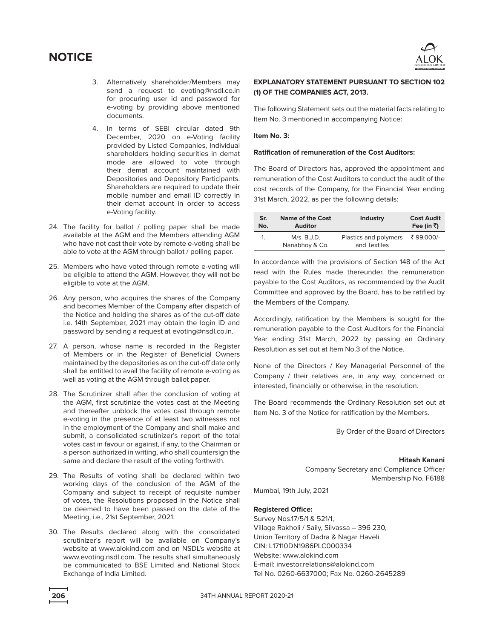

- 3. Alternatively shareholder/Members may send a request to evoting@nsdl.co.in for procuring user id and password for e-voting by providing above mentioned documents.
- 4. In terms of SEBI circular dated 9th December, 2020 on e-Voting facility provided by Listed Companies, Individual shareholders holding securities in demat mode are allowed to vote through their demat account maintained with Depositories and Depository Participants. Shareholders are required to update their mobile number and email ID correctly in their demat account in order to access e-Voting facility.
- 24. The facility for ballot / polling paper shall be made available at the AGM and the Members attending AGM who have not cast their vote by remote e-voting shall be able to vote at the AGM through ballot / polling paper.
- 25. Members who have voted through remote e-voting will be eligible to attend the AGM. However, they will not be eligible to vote at the AGM.
- 26. Any person, who acquires the shares of the Company and becomes Member of the Company after dispatch of the Notice and holding the shares as of the cut-off date i.e. 14th September, 2021 may obtain the login ID and password by sending a request at evoting@nsdl.co.in.
- 27. A person, whose name is recorded in the Register of Members or in the Register of Beneficial Owners maintained by the depositories as on the cut-off date only shall be entitled to avail the facility of remote e-voting as well as voting at the AGM through ballot paper.
- 28. The Scrutinizer shall after the conclusion of voting at the AGM, first scrutinize the votes cast at the Meeting and thereafter unblock the votes cast through remote e-voting in the presence of at least two witnesses not in the employment of the Company and shall make and submit, a consolidated scrutinizer's report of the total votes cast in favour or against, if any, to the Chairman or a person authorized in writing, who shall countersign the same and declare the result of the voting forthwith.
- 29. The Results of voting shall be declared within two working days of the conclusion of the AGM of the Company and subject to receipt of requisite number of votes, the Resolutions proposed in the Notice shall be deemed to have been passed on the date of the Meeting, i.e., 21st September, 2021.
- 30. The Results declared along with the consolidated scrutinizer's report will be available on Company's website at www.alokind.com and on NSDL's website at www.evoting.nsdl.com. The results shall simultaneously be communicated to BSE Limited and National Stock Exchange of India Limited.

## **EXPLANATORY STATEMENT PURSUANT TO SECTION 102 (1) OF THE COMPANIES ACT, 2013.**

The following Statement sets out the material facts relating to Item No. 3 mentioned in accompanying Notice:

### **Item No. 3:**

#### **Ratification of remuneration of the Cost Auditors:**

The Board of Directors has, approved the appointment and remuneration of the Cost Auditors to conduct the audit of the cost records of the Company, for the Financial Year ending 31st March, 2022, as per the following details:

| Sr. | Name of the Cost              | <b>Industry</b>                       | <b>Cost Audit</b> |
|-----|-------------------------------|---------------------------------------|-------------------|
| No. | <b>Auditor</b>                |                                       | Fee (in ₹)        |
|     | M/s. B.J.D.<br>Nanabhoy & Co. | Plastics and polymers<br>and Textiles | ₹ 99.000/-        |

In accordance with the provisions of Section 148 of the Act read with the Rules made thereunder, the remuneration payable to the Cost Auditors, as recommended by the Audit Committee and approved by the Board, has to be ratified by the Members of the Company.

Accordingly, ratification by the Members is sought for the remuneration payable to the Cost Auditors for the Financial Year ending 31st March, 2022 by passing an Ordinary Resolution as set out at Item No.3 of the Notice.

None of the Directors / Key Managerial Personnel of the Company / their relatives are, in any way, concerned or interested, financially or otherwise, in the resolution.

The Board recommends the Ordinary Resolution set out at Item No. 3 of the Notice for ratification by the Members.

By Order of the Board of Directors

#### **Hitesh Kanani**

Company Secretary and Compliance Officer Membership No. F6188

Mumbai, 19th July, 2021

## **Registered Office:**

Survey Nos.17/5/1 & 521/1, Village Rakholi / Saily, Silvassa – 396 230, Union Territory of Dadra & Nagar Haveli. CIN: L17110DN1986PLC000334 Website: www.alokind.com E-mail: investor.relations@alokind.com Tel No. 0260-6637000; Fax No. 0260-2645289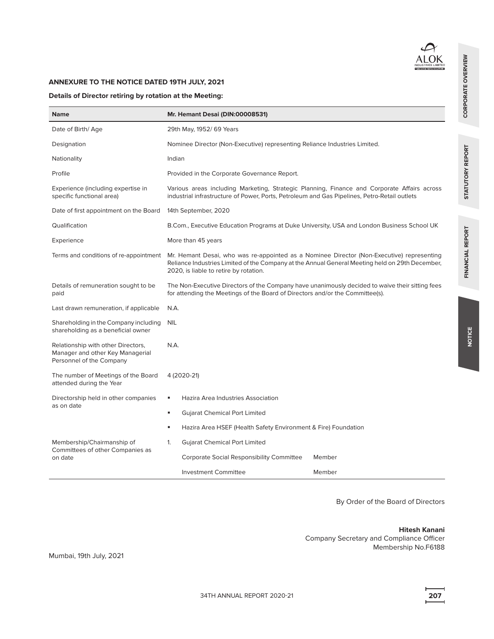

## **ANNEXURE TO THE NOTICE DATED 19TH JULY, 2021**

## **Details of Director retiring by rotation at the Meeting:**

| <b>Name</b>                                                                                        | Mr. Hemant Desai (DIN:00008531)                                                                                                                                                                                                        |  |  |
|----------------------------------------------------------------------------------------------------|----------------------------------------------------------------------------------------------------------------------------------------------------------------------------------------------------------------------------------------|--|--|
| Date of Birth/Age                                                                                  | 29th May, 1952/ 69 Years                                                                                                                                                                                                               |  |  |
| Designation                                                                                        | Nominee Director (Non-Executive) representing Reliance Industries Limited.                                                                                                                                                             |  |  |
| Nationality                                                                                        | Indian                                                                                                                                                                                                                                 |  |  |
| Profile                                                                                            | Provided in the Corporate Governance Report.                                                                                                                                                                                           |  |  |
| Experience (including expertise in<br>specific functional area)                                    | Various areas including Marketing, Strategic Planning, Finance and Corporate Affairs across<br>industrial infrastructure of Power, Ports, Petroleum and Gas Pipelines, Petro-Retail outlets                                            |  |  |
| Date of first appointment on the Board                                                             | 14th September, 2020                                                                                                                                                                                                                   |  |  |
| Qualification                                                                                      | B.Com., Executive Education Programs at Duke University, USA and London Business School UK                                                                                                                                             |  |  |
| Experience                                                                                         | More than 45 years                                                                                                                                                                                                                     |  |  |
| Terms and conditions of re-appointment                                                             | Mr. Hemant Desai, who was re-appointed as a Nominee Director (Non-Executive) representing<br>Reliance Industries Limited of the Company at the Annual General Meeting held on 29th December,<br>2020, is liable to retire by rotation. |  |  |
| Details of remuneration sought to be<br>paid                                                       | The Non-Executive Directors of the Company have unanimously decided to waive their sitting fees<br>for attending the Meetings of the Board of Directors and/or the Committee(s).                                                       |  |  |
| Last drawn remuneration, if applicable                                                             | N.A.                                                                                                                                                                                                                                   |  |  |
| Shareholding in the Company including<br>shareholding as a beneficial owner                        | <b>NIL</b>                                                                                                                                                                                                                             |  |  |
| Relationship with other Directors,<br>Manager and other Key Managerial<br>Personnel of the Company | N.A.                                                                                                                                                                                                                                   |  |  |
| The number of Meetings of the Board<br>attended during the Year                                    | 4 (2020-21)                                                                                                                                                                                                                            |  |  |
| Directorship held in other companies                                                               | Hazira Area Industries Association<br>٠                                                                                                                                                                                                |  |  |
| as on date                                                                                         | <b>Gujarat Chemical Port Limited</b><br>٠                                                                                                                                                                                              |  |  |
|                                                                                                    | Hazira Area HSEF (Health Safety Environment & Fire) Foundation<br>٠                                                                                                                                                                    |  |  |
| Membership/Chairmanship of                                                                         | $\mathbf{1}$ .<br><b>Gujarat Chemical Port Limited</b>                                                                                                                                                                                 |  |  |
| Committees of other Companies as<br>on date                                                        | Corporate Social Responsibility Committee<br>Member                                                                                                                                                                                    |  |  |
|                                                                                                    | <b>Investment Committee</b><br>Member                                                                                                                                                                                                  |  |  |

By Order of the Board of Directors

## **Hitesh Kanani**

Company Secretary and Compliance Officer Membership No.F6188 FINANCIAL REPORT

CORPORATE OVERVIEW

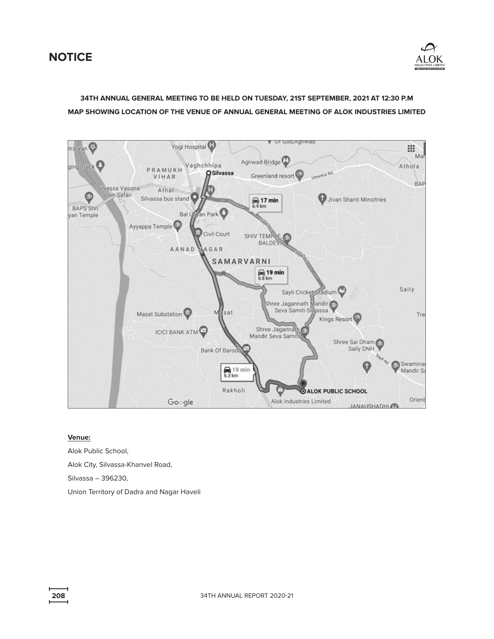

# **34TH ANNUAL GENERAL MEETING TO BE HELD ON TUESDAY, 21ST SEPTEMBER, 2021 AT 12:30 P.M MAP SHOWING LOCATION OF THE VENUE OF ANNUAL GENERAL MEETING OF ALOK INDUSTRIES LIMITED**



## **Venue:**

Alok Public School, Alok City, Silvassa-Khanvel Road, Silvassa – 396230, Union Territory of Dadra and Nagar Haveli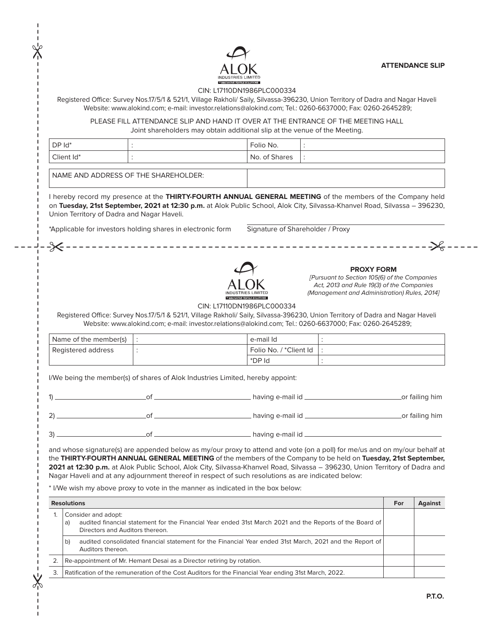**ATTENDANCE SLIP**



### CIN: L17110DN1986PLC000334

Registered Office: Survey Nos.17/5/1 & 521/1, Village Rakholi/ Saily, Silvassa-396230, Union Territory of Dadra and Nagar Haveli Website: www.alokind.com; e-mail: investor.relations@alokind.com; Tel.: 0260-6637000; Fax: 0260-2645289;

PLEASE FILL ATTENDANCE SLIP AND HAND IT OVER AT THE ENTRANCE OF THE MEETING HALL Joint shareholders may obtain additional slip at the venue of the Meeting.

| $DPId^*$                             |  | Folio No.     |  |
|--------------------------------------|--|---------------|--|
| Client Id*                           |  | No. of Shares |  |
| NAME AND ADDRESS OF THE SHAREHOLDER: |  |               |  |

I hereby record my presence at the **THIRTY-FOURTH ANNUAL GENERAL MEETING** of the members of the Company held on **Tuesday, 21st September, 2021 at 12:30 p.m.** at Alok Public School, Alok City, Silvassa-Khanvel Road, Silvassa – 396230, Union Territory of Dadra and Nagar Haveli.

\*Applicable for investors holding shares in electronic form Signature of Shareholder / Proxy



#### **PROXY FORM**

[Pursuant to Section 105(6) of the Companies Act, 2013 and Rule 19(3) of the Companies (Management and Administration) Rules, 2014]

CIN: L17110DN1986PLC000334

Registered Office: Survey Nos.17/5/1 & 521/1, Village Rakholi/ Saily, Silvassa-396230, Union Territory of Dadra and Nagar Haveli Website: www.alokind.com; e-mail: investor.relations@alokind.com; Tel.: 0260-6637000; Fax: 0260-2645289;

| Name of the member(s) | e-mail Id              |  |
|-----------------------|------------------------|--|
| Registered address    | Folio No. / *Client Id |  |
|                       | *DP Id                 |  |

I/We being the member(s) of shares of Alok Industries Limited, hereby appoint:

|  | having e-mail id _ | _or failing him |
|--|--------------------|-----------------|
|  | having e-mail id _ | _or failing him |
|  | having e-mail id _ |                 |

and whose signature(s) are appended below as my/our proxy to attend and vote (on a poll) for me/us and on my/our behalf at the **THIRTY-FOURTH ANNUAL GENERAL MEETING** of the members of the Company to be held on **Tuesday, 21st September, 2021 at 12:30 p.m.** at Alok Public School, Alok City, Silvassa-Khanvel Road, Silvassa – 396230, Union Territory of Dadra and Nagar Haveli and at any adjournment thereof in respect of such resolutions as are indicated below:

\* I/We wish my above proxy to vote in the manner as indicated in the box below:

 $\frac{1}{\sqrt{2}}$ 

 $\chi$ 

|    | <b>Resolutions</b>                                                                                                                                                       | For | Against |
|----|--------------------------------------------------------------------------------------------------------------------------------------------------------------------------|-----|---------|
|    | Consider and adopt:<br>audited financial statement for the Financial Year ended 31st March 2021 and the Reports of the Board of<br>a)<br>Directors and Auditors thereon. |     |         |
|    | audited consolidated financial statement for the Financial Year ended 31st March, 2021 and the Report of<br>b)<br>Auditors thereon.                                      |     |         |
|    | Re-appointment of Mr. Hemant Desai as a Director retiring by rotation.                                                                                                   |     |         |
| 3. | Ratification of the remuneration of the Cost Auditors for the Financial Year ending 31st March, 2022.                                                                    |     |         |